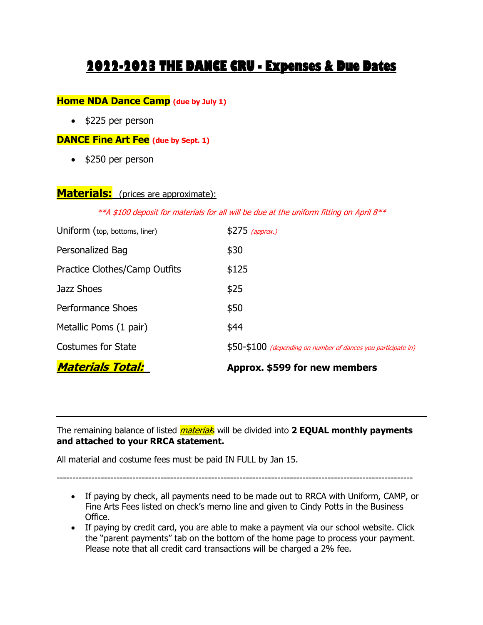# **2022-2023 THE DANCE CRU - Expenses & Due Dates**

#### **Home NDA Dance Camp (due by July 1)**

• \$225 per person

#### **DANCE Fine Art Fee (due by Sept. 1)**

• \$250 per person

### **Materials:** (prices are approximate):

 $*$ A \$100 deposit for materials for all will be due at the uniform fitting on April  $8**$ 

| <b>Materials Total:</b>       | Approx. \$599 for new members                                 |
|-------------------------------|---------------------------------------------------------------|
| <b>Costumes for State</b>     | \$50-\$100 (depending on number of dances you participate in) |
| Metallic Poms (1 pair)        | \$44                                                          |
| <b>Performance Shoes</b>      | \$50                                                          |
| Jazz Shoes                    | \$25                                                          |
| Practice Clothes/Camp Outfits | \$125                                                         |
| Personalized Bag              | \$30                                                          |
| Uniform (top, bottoms, liner) | $$275$ (approx.)                                              |

The remaining balance of listed *material*s will be divided into 2 **EQUAL monthly payments and attached to your RRCA statement.** 

All material and costume fees must be paid IN FULL by Jan 15.

-----------------------------------------------------------------------------------------------------------------

- If paying by check, all payments need to be made out to RRCA with Uniform, CAMP, or Fine Arts Fees listed on check's memo line and given to Cindy Potts in the Business Office.
- If paying by credit card, you are able to make a payment via our school website. Click the "parent payments" tab on the bottom of the home page to process your payment. Please note that all credit card transactions will be charged a 2% fee.